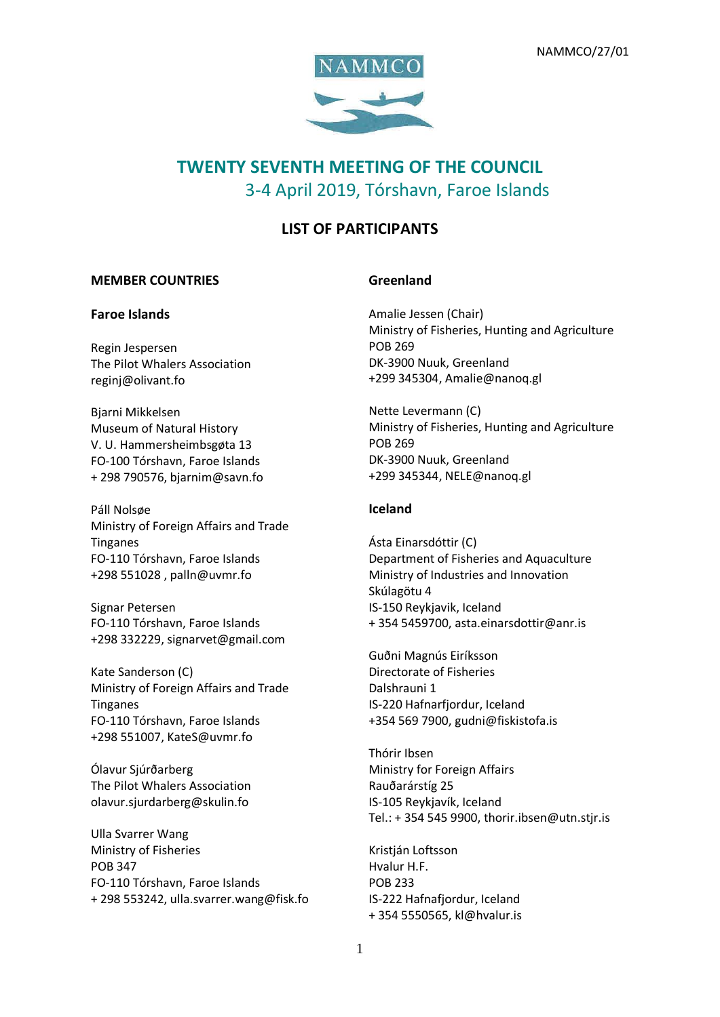

# **TWENTY SEVENTH MEETING OF THE COUNCIL** 3-4 April 2019, Tórshavn, Faroe Islands

## **LIST OF PARTICIPANTS**

#### **MEMBER COUNTRIES**

#### **Faroe Islands**

Regin Jespersen The Pilot Whalers Association reginj@olivant.fo

Bjarni Mikkelsen Museum of Natural History V. U. Hammersheimbsgøta 13 FO-100 Tórshavn, Faroe Islands + 298 790576, bjarnim@savn.fo

Páll Nolsøe Ministry of Foreign Affairs and Trade Tinganes FO-110 Tórshavn, Faroe Islands +298 551028 , palln@uvmr.fo

Signar Petersen FO-110 Tórshavn, Faroe Islands +298 332229, signarvet@gmail.com

Kate Sanderson (C) Ministry of Foreign Affairs and Trade Tinganes FO-110 Tórshavn, Faroe Islands +298 551007, KateS@uvmr.fo

Ólavur Sjúrðarberg The Pilot Whalers Association olavur.sjurdarberg@skulin.fo

Ulla Svarrer Wang Ministry of Fisheries POB 347 FO-110 Tórshavn, Faroe Islands + 298 553242, [ulla.svarrer.wang@fisk.fo](mailto:ulla.svarrer.wang@fisk.fo)

#### **Greenland**

Amalie Jessen (Chair) Ministry of Fisheries, Hunting and Agriculture POB 269 DK-3900 Nuuk, Greenland +299 345304, [Amalie@nanoq.gl](mailto:Amalie@nanoq.gl)

Nette Levermann (C) Ministry of Fisheries, Hunting and Agriculture POB 269 DK-3900 Nuuk, Greenland +299 345344, [NELE@nanoq.gl](mailto:NELE@nanoq.gl)

#### **Iceland**

Ásta Einarsdóttir (C) Department of Fisheries and Aquaculture Ministry of Industries and Innovation Skúlagötu 4 IS-150 Reykjavik, Iceland + 354 5459700, asta.einarsdottir@anr.is

Guðni Magnús Eiríksson Directorate of Fisheries Dalshrauni 1 IS-220 Hafnarfjordur, Iceland +354 569 7900, [gudni@fiskistofa.is](mailto:gudni@fiskistofa.is)

Thórir Ibsen Ministry for Foreign Affairs Rauðarárstíg 25 IS-105 Reykjavík, Iceland Tel.: + 354 545 9900, [thorir.ibsen@utn.stjr.is](mailto:thorir.ibsen@utn.stjr.is)

Kristján Loftsson Hvalur H.F. POB 233 IS-222 Hafnafjordur, Iceland + 354 5550565, [kl@hvalur.is](mailto:kl@hvalur.is)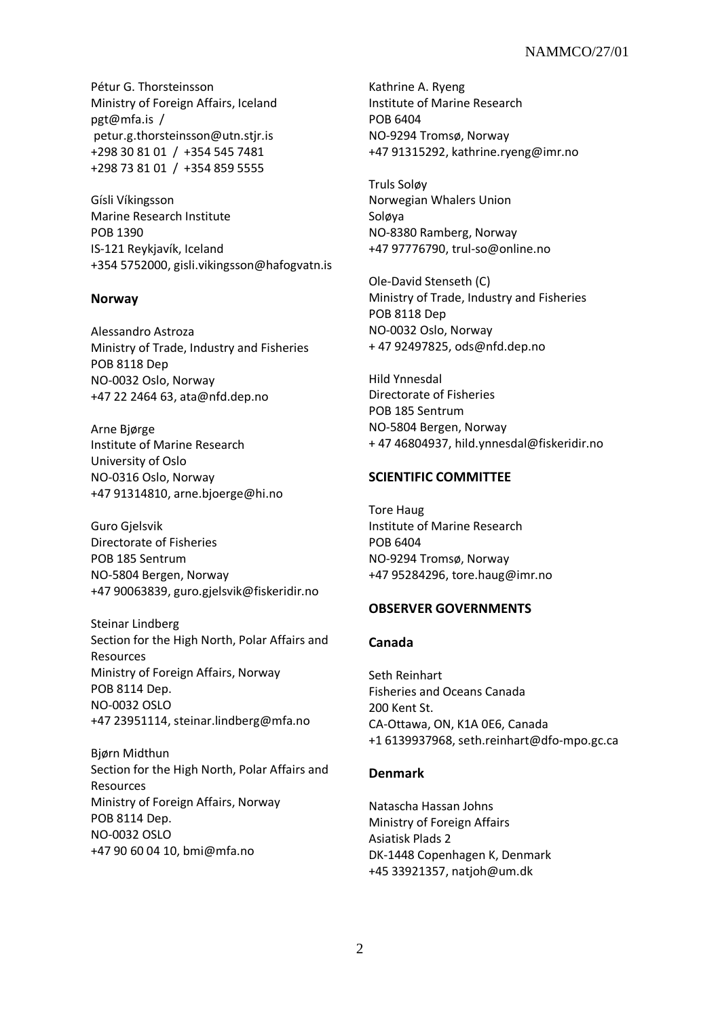Pétur G. Thorsteinsson Ministry of Foreign Affairs, Iceland [pgt@mfa.is](mailto:pgt@mfa.is) / [petur.g.thorsteinsson@utn.stjr.is](mailto:petur.g.thorsteinsson@utn.stjr.is) [+298 30 81 01](tel:+298%2030%2081%2001) / [+354 545 7481](tel:+354%20545%207481) [+298 73 81 01](tel:+298%2073%2081%2001) / [+354 859 5555](tel:+354%20859%205555)

Gísli Víkingsson Marine Research Institute POB 1390 IS-121 Reykjavík, Iceland +354 5752000, [gisli.vikingsson@hafogvatn.is](mailto:gisli.vikingsson@hafogvatn.is)

#### **Norway**

Alessandro Astroza Ministry of Trade, Industry and Fisheries POB 8118 Dep NO-0032 Oslo, Norway +47 22 2464 63, ata@nfd.dep.no

Arne Bjørge Institute of Marine Research University of Oslo NO-0316 Oslo, Norway +47 91314810, [arne.bjoerge@hi.no](mailto:arne.bjoerge@hi.no)

Guro Gjelsvik Directorate of Fisheries POB 185 Sentrum NO-5804 Bergen, Norway +47 90063839, guro.gjelsvik@fiskeridir.no

Steinar Lindberg Section for the High North, Polar Affairs and Resources Ministry of Foreign Affairs, Norway POB 8114 Dep. NO-0032 OSLO +47 23951114, steinar.lindberg@mfa.no

Bjørn Midthun Section for the High North, Polar Affairs and Resources Ministry of Foreign Affairs, Norway POB 8114 Dep. NO-0032 OSLO +47 90 60 04 10, [bmi@mfa.no](mailto:bmi@mfa.no)

Kathrine A. Ryeng Institute of Marine Research POB 6404 NO-9294 Tromsø, Norway +47 91315292[, kathrine.ryeng@imr.no](mailto:kathrine.ryeng@imr.no)

Truls Soløy Norwegian Whalers Union Soløya NO-8380 Ramberg, Norway +47 97776790[, trul-so@online.no](mailto:trul-so@online.no)

Ole-David Stenseth (C) Ministry of Trade, Industry and Fisheries POB 8118 Dep NO-0032 Oslo, Norway + 47 92497825, [ods@nfd.dep.no](mailto:ods@nfd.dep.no)

Hild Ynnesdal Directorate of Fisheries POB 185 Sentrum NO-5804 Bergen, Norway + 47 46804937, hild.ynnesdal@fiskeridir.no

## **SCIENTIFIC COMMITTEE**

Tore Haug Institute of Marine Research POB 6404 NO-9294 Tromsø, Norway +47 95284296[, tore.haug@imr.no](mailto:tore.haug@imr.no)

## **OBSERVER GOVERNMENTS**

#### **Canada**

Seth Reinhart Fisheries and Oceans Canada 200 Kent St. CA-Ottawa, ON, K1A 0E6, Canada +1 6139937968, seth.reinhart@dfo-mpo.gc.ca

#### **Denmark**

Natascha Hassan Johns Ministry of Foreign Affairs Asiatisk Plads 2 DK-1448 Copenhagen K, Denmark +45 33921357, natjo[h@um.dk](mailto:peteli@um.dk)